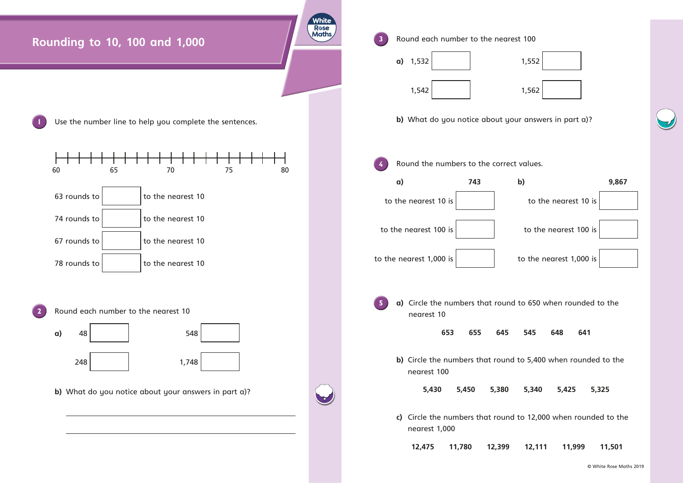© White Rose Maths 2019



- 
- 

- 
- 
- 
- 
-